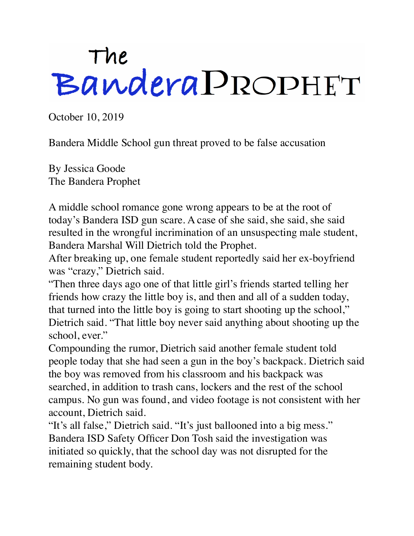## The<br>Bandera PROPHET

October 10, 2019

Bandera Middle School gun threat proved to be false accusation

By Jessica Goode The Bandera Prophet

A middle school romance gone wrong appears to be at the root of today's Bandera ISD gun scare. A case of she said, she said, she said resulted in the wrongful incrimination of an unsuspecting male student, Bandera Marshal Will Dietrich told the Prophet.

After breaking up, one female student reportedly said her ex-boyfriend was "crazy," Dietrich said.

"Then three days ago one of that little girl's friends started telling her friends how crazy the little boy is, and then and all of a sudden today, that turned into the little boy is going to start shooting up the school," Dietrich said. "That little boy never said anything about shooting up the school, ever."

Compounding the rumor, Dietrich said another female student told people today that she had seen a gun in the boy's backpack. Dietrich said the boy was removed from his classroom and his backpack was searched, in addition to trash cans, lockers and the rest of the school campus. No gun was found, and video footage is not consistent with her account, Dietrich said.

"It's all false," Dietrich said. "It's just ballooned into a big mess." Bandera ISD Safety Officer Don Tosh said the investigation was initiated so quickly, that the school day was not disrupted for the remaining student body.